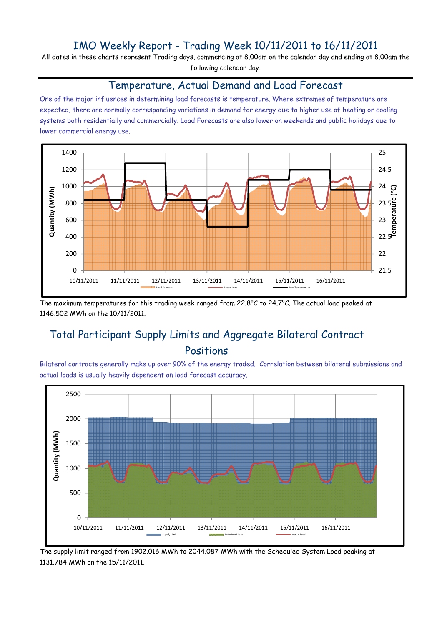### IMO Weekly Report - Trading Week 10/11/2011 to 16/11/2011

All dates in these charts represent Trading days, commencing at 8.00am on the calendar day and ending at 8.00am the following calendar day.

#### Temperature, Actual Demand and Load Forecast

One of the major influences in determining load forecasts is temperature. Where extremes of temperature are expected, there are normally corresponding variations in demand for energy due to higher use of heating or cooling systems both residentially and commercially. Load Forecasts are also lower on weekends and public holidays due to lower commercial energy use.



The maximum temperatures for this trading week ranged from 22.8°C to 24.7°C. The actual load peaked at 1146.502 MWh on the 10/11/2011.

# Total Participant Supply Limits and Aggregate Bilateral Contract Positions

Bilateral contracts generally make up over 90% of the energy traded. Correlation between bilateral submissions and actual loads is usually heavily dependent on load forecast accuracy.



The supply limit ranged from 1902.016 MWh to 2044.087 MWh with the Scheduled System Load peaking at 1131.784 MWh on the 15/11/2011.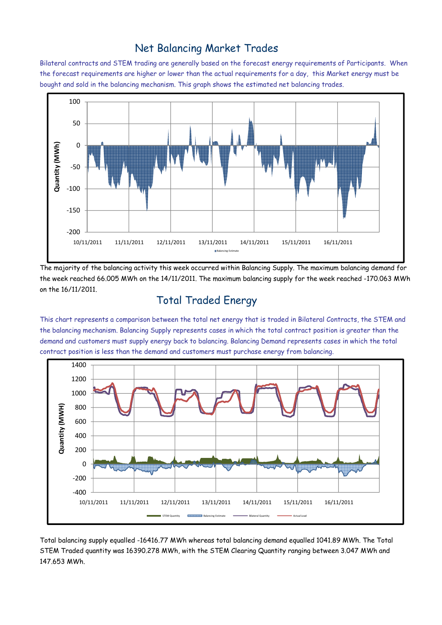#### Net Balancing Market Trades

Bilateral contracts and STEM trading are generally based on the forecast energy requirements of Participants. When the forecast requirements are higher or lower than the actual requirements for a day, this Market energy must be bought and sold in the balancing mechanism. This graph shows the estimated net balancing trades.



The majority of the balancing activity this week occurred within Balancing Supply. The maximum balancing demand for the week reached 66.005 MWh on the 14/11/2011. The maximum balancing supply for the week reached -170.063 MWh on the 16/11/2011.

# Total Traded Energy

This chart represents a comparison between the total net energy that is traded in Bilateral Contracts, the STEM and the balancing mechanism. Balancing Supply represents cases in which the total contract position is greater than the demand and customers must supply energy back to balancing. Balancing Demand represents cases in which the total contract position is less than the demand and customers must purchase energy from balancing.



Total balancing supply equalled -16416.77 MWh whereas total balancing demand equalled 1041.89 MWh. The Total STEM Traded quantity was 16390.278 MWh, with the STEM Clearing Quantity ranging between 3.047 MWh and 147.653 MWh.